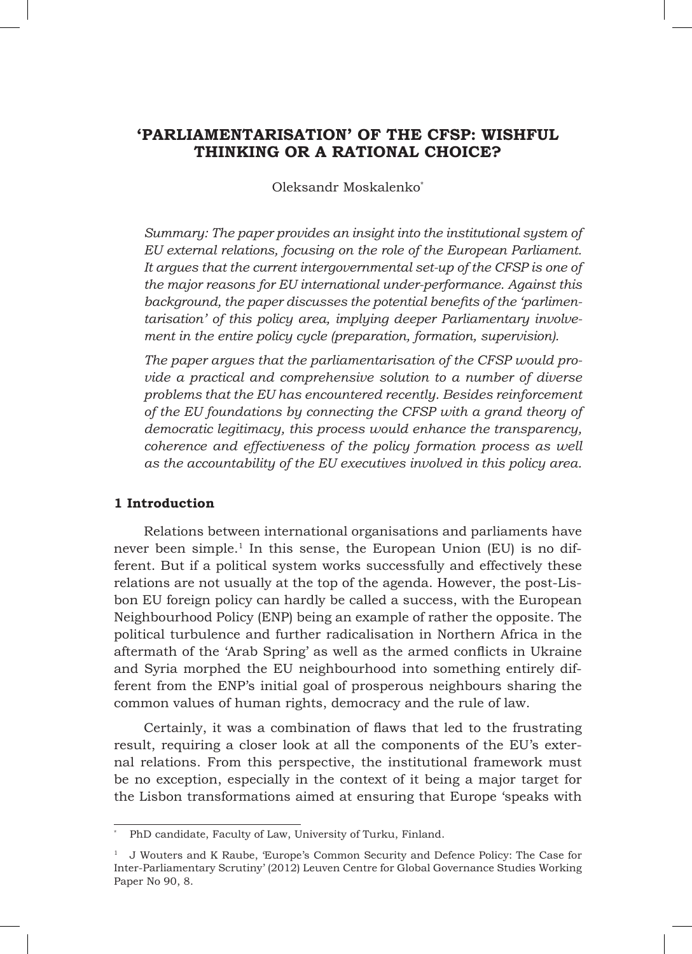# **'PARLIAMENTARISATION' OF THE CFSP: WISHFUL THINKING OR A RATIONAL CHOICE?**

Oleksandr Moskalenko\*

*Summary: The paper provides an insight into the institutional system of EU external relations, focusing on the role of the European Parliament.*  It argues that the current intergovernmental set-up of the CFSP is one of *the major reasons for EU international under-performance. Against this background, the paper discusses the potential benefits of the 'parlimentarisation' of this policy area, implying deeper Parliamentary involvement in the entire policy cycle (preparation, formation, supervision).* 

*The paper argues that the parliamentarisation of the CFSP would provide a practical and comprehensive solution to a number of diverse problems that the EU has encountered recently. Besides reinforcement of the EU foundations by connecting the CFSP with a grand theory of democratic legitimacy, this process would enhance the transparency, coherence and effectiveness of the policy formation process as well as the accountability of the EU executives involved in this policy area.*

## **1 Introduction**

Relations between international organisations and parliaments have never been simple.<sup>1</sup> In this sense, the European Union (EU) is no different. But if a political system works successfully and effectively these relations are not usually at the top of the agenda. However, the post-Lisbon EU foreign policy can hardly be called a success, with the European Neighbourhood Policy (ENP) being an example of rather the opposite. The political turbulence and further radicalisation in Northern Africa in the aftermath of the 'Arab Spring' as well as the armed conflicts in Ukraine and Syria morphed the EU neighbourhood into something entirely different from the ENP's initial goal of prosperous neighbours sharing the common values of human rights, democracy and the rule of law.

Certainly, it was a combination of flaws that led to the frustrating result, requiring a closer look at all the components of the EU's external relations. From this perspective, the institutional framework must be no exception, especially in the context of it being a major target for the Lisbon transformations aimed at ensuring that Europe 'speaks with

PhD candidate, Faculty of Law, University of Turku, Finland.

<sup>1</sup> J Wouters and K Raube, 'Europe's Common Security and Defence Policy: The Case for Inter-Parliamentary Scrutiny' (2012) Leuven Centre for Global Governance Studies Working Paper No 90, 8.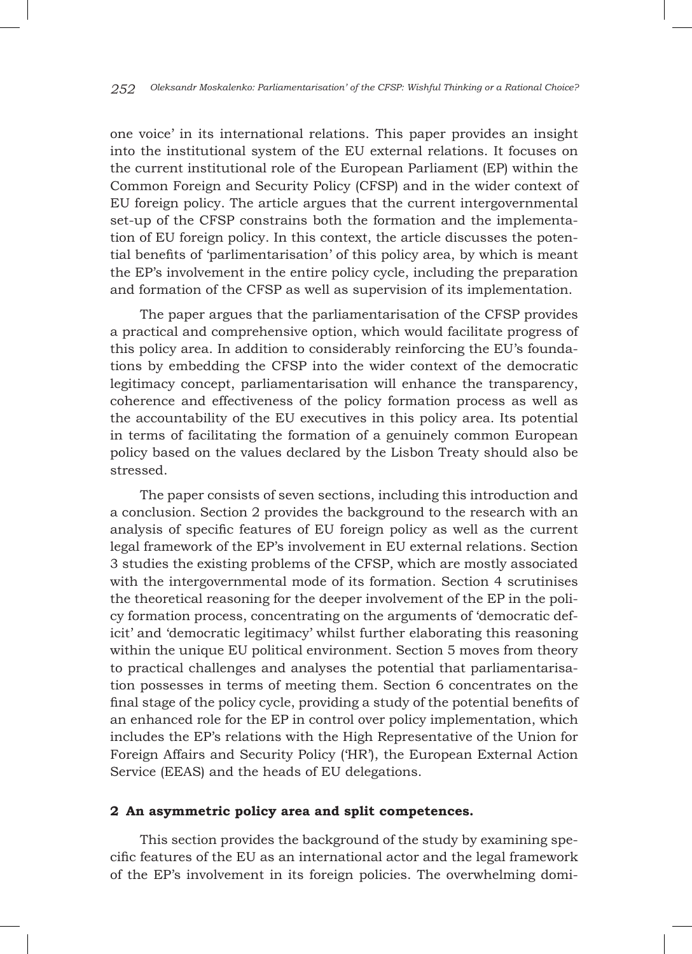one voice' in its international relations. This paper provides an insight into the institutional system of the EU external relations. It focuses on the current institutional role of the European Parliament (EP) within the Common Foreign and Security Policy (CFSP) and in the wider context of EU foreign policy. The article argues that the current intergovernmental set-up of the CFSP constrains both the formation and the implementation of EU foreign policy. In this context, the article discusses the potential benefits of 'parlimentarisation' of this policy area, by which is meant the EP's involvement in the entire policy cycle, including the preparation and formation of the CFSP as well as supervision of its implementation.

The paper argues that the parliamentarisation of the CFSP provides a practical and comprehensive option, which would facilitate progress of this policy area. In addition to considerably reinforcing the EU's foundations by embedding the CFSP into the wider context of the democratic legitimacy concept, parliamentarisation will enhance the transparency, coherence and effectiveness of the policy formation process as well as the accountability of the EU executives in this policy area. Its potential in terms of facilitating the formation of a genuinely common European policy based on the values declared by the Lisbon Treaty should also be stressed.

The paper consists of seven sections, including this introduction and a conclusion. Section 2 provides the background to the research with an analysis of specific features of EU foreign policy as well as the current legal framework of the EP's involvement in EU external relations. Section 3 studies the existing problems of the CFSP, which are mostly associated with the intergovernmental mode of its formation. Section 4 scrutinises the theoretical reasoning for the deeper involvement of the EP in the policy formation process, concentrating on the arguments of 'democratic deficit' and 'democratic legitimacy' whilst further elaborating this reasoning within the unique EU political environment. Section 5 moves from theory to practical challenges and analyses the potential that parliamentarisation possesses in terms of meeting them. Section 6 concentrates on the final stage of the policy cycle, providing a study of the potential benefits of an enhanced role for the EP in control over policy implementation, which includes the EP's relations with the High Representative of the Union for Foreign Affairs and Security Policy ('HR'), the European External Action Service (EEAS) and the heads of EU delegations.

## **2 An asymmetric policy area and split competences.**

This section provides the background of the study by examining specific features of the EU as an international actor and the legal framework of the EP's involvement in its foreign policies. The overwhelming domi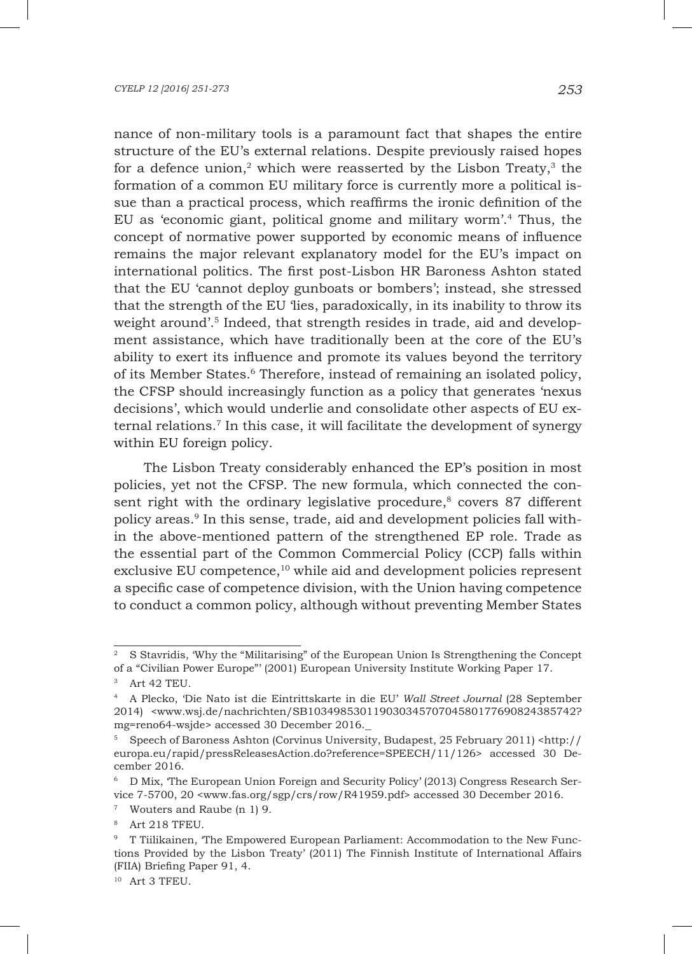nance of non-military tools is a paramount fact that shapes the entire structure of the EU's external relations. Despite previously raised hopes for a defence union,<sup>2</sup> which were reasserted by the Lisbon Treaty, $3$  the formation of a common EU military force is currently more a political issue than a practical process, which reaffirms the ironic definition of the EU as 'economic giant, political gnome and military worm'.4 Thus, the concept of normative power supported by economic means of influence remains the major relevant explanatory model for the EU's impact on international politics. The first post-Lisbon HR Baroness Ashton stated that the EU 'cannot deploy gunboats or bombers'; instead, she stressed that the strength of the EU 'lies, paradoxically, in its inability to throw its weight around'.<sup>5</sup> Indeed, that strength resides in trade, aid and development assistance, which have traditionally been at the core of the EU's ability to exert its influence and promote its values beyond the territory of its Member States.6 Therefore, instead of remaining an isolated policy, the CFSP should increasingly function as a policy that generates 'nexus decisions', which would underlie and consolidate other aspects of EU external relations.<sup>7</sup> In this case, it will facilitate the development of synergy within EU foreign policy.

The Lisbon Treaty considerably enhanced the EP's position in most policies, yet not the CFSP. The new formula, which connected the consent right with the ordinary legislative procedure, $8$  covers 87 different policy areas.9 In this sense, trade, aid and development policies fall within the above-mentioned pattern of the strengthened EP role. Trade as the essential part of the Common Commercial Policy (CCP) falls within exclusive EU competence,10 while aid and development policies represent a specific case of competence division, with the Union having competence to conduct a common policy, although without preventing Member States

<sup>2</sup> S Stavridis, 'Why the "Militarising" of the European Union Is Strengthening the Concept of a "Civilian Power Europe"' (2001) European University Institute Working Paper 17.

<sup>3</sup> Art 42 TEU.

<sup>4</sup> A Plecko, 'Die Nato ist die Eintrittskarte in die EU' *Wall Street Journal* (28 September 2014) <www.wsj.de/nachrichten/SB10349853011903034570704580177690824385742? mg=reno64-wsjde> accessed 30 December 2016.

<sup>5</sup> Speech of Baroness Ashton (Corvinus University, Budapest, 25 February 2011) <http:// europa.eu/rapid/pressReleasesAction.do?reference=SPEECH/11/126> accessed 30 December 2016.

<sup>6</sup> D Mix, 'The European Union Foreign and Security Policy' (2013) Congress Research Service 7-5700, 20 <www.fas.org/sgp/crs/row/R41959.pdf> accessed 30 December 2016.

<sup>7</sup> Wouters and Raube (n 1) 9.

<sup>8</sup> Art 218 TFEU.

<sup>9</sup> T Tiilikainen, 'The Empowered European Parliament: Accommodation to the New Functions Provided by the Lisbon Treaty' (2011) The Finnish Institute of International Affairs (FIIA) Briefing Paper 91, 4.

<sup>10</sup> Art 3 TFEU.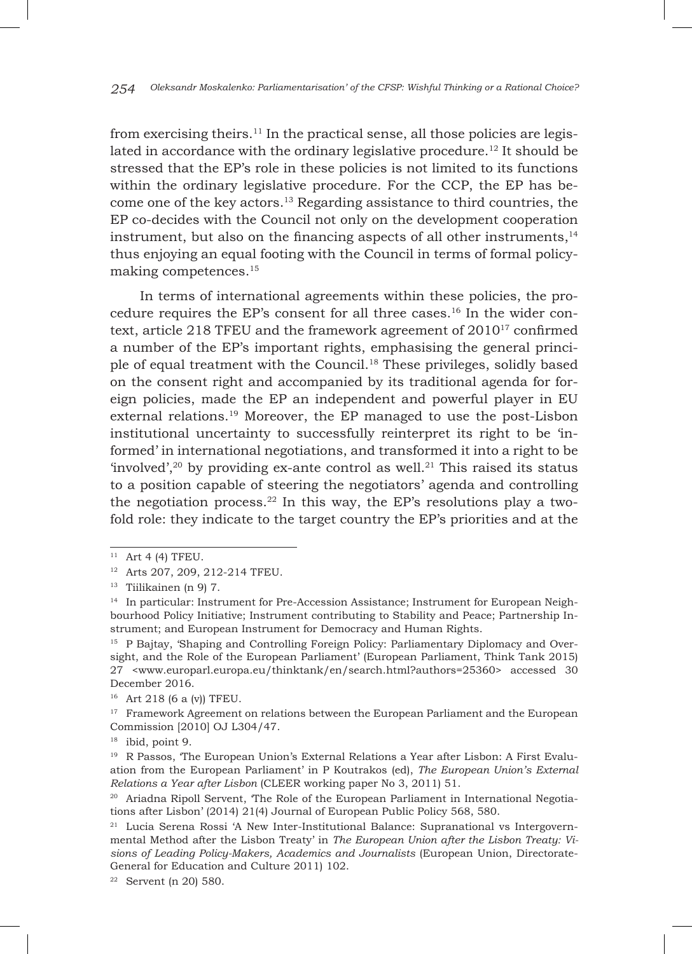from exercising theirs.<sup>11</sup> In the practical sense, all those policies are legislated in accordance with the ordinary legislative procedure.<sup>12</sup> It should be stressed that the EP's role in these policies is not limited to its functions within the ordinary legislative procedure. For the CCP, the EP has become one of the key actors.13 Regarding assistance to third countries, the EP co-decides with the Council not only on the development cooperation instrument, but also on the financing aspects of all other instruments,14 thus enjoying an equal footing with the Council in terms of formal policymaking competences.15

In terms of international agreements within these policies, the procedure requires the EP's consent for all three cases.16 In the wider context, article 218 TFEU and the framework agreement of  $2010^{17}$  confirmed a number of the EP's important rights, emphasising the general principle of equal treatment with the Council.18 These privileges, solidly based on the consent right and accompanied by its traditional agenda for foreign policies, made the EP an independent and powerful player in EU external relations.19 Moreover, the EP managed to use the post-Lisbon institutional uncertainty to successfully reinterpret its right to be 'informed' in international negotiations, and transformed it into a right to be 'involved',<sup>20</sup> by providing ex-ante control as well.<sup>21</sup> This raised its status to a position capable of steering the negotiators' agenda and controlling the negotiation process.<sup>22</sup> In this way, the EP's resolutions play a twofold role: they indicate to the target country the EP's priorities and at the

 $11$  Art 4 (4) TFEU.

<sup>12</sup> Arts 207, 209, 212-214 TFEU.

 $13$  Tiilikainen (n 9) 7.

<sup>14</sup> In particular: Instrument for Pre-Accession Assistance; Instrument for European Neighbourhood Policy Initiative; Instrument contributing to Stability and Peace; Partnership Instrument; and European Instrument for Democracy and Human Rights.

<sup>15</sup> P Bajtay, 'Shaping and Controlling Foreign Policy: Parliamentary Diplomacy and Oversight, and the Role of the European Parliament' (European Parliament, Think Tank 2015) 27 <www.europarl.europa.eu/thinktank/en/search.html?authors=25360> accessed 30 December 2016.

<sup>16</sup> Art 218 (6 a (v)) TFEU.

<sup>&</sup>lt;sup>17</sup> Framework Agreement on relations between the European Parliament and the European Commission [2010] OJ L304/47.

<sup>18</sup> ibid, point 9.

<sup>&</sup>lt;sup>19</sup> R Passos, 'The European Union's External Relations a Year after Lisbon: A First Evaluation from the European Parliament' in P Koutrakos (ed), *The European Union's External Relations a Year after Lisbon* (CLEER working paper No 3, 2011) 51.

<sup>&</sup>lt;sup>20</sup> Ariadna Ripoll Servent, 'The Role of the European Parliament in International Negotiations after Lisbon' (2014) 21(4) Journal of European Public Policy 568, 580.

<sup>21</sup> Lucia Serena Rossi 'A New Inter-Institutional Balance: Supranational vs Intergovernmental Method after the Lisbon Treaty' in *The European Union after the Lisbon Treaty: Visions of Leading Policy-Makers, Academics and Journalists* (European Union, Directorate-General for Education and Culture 2011) 102.

<sup>22</sup> Servent (n 20) 580.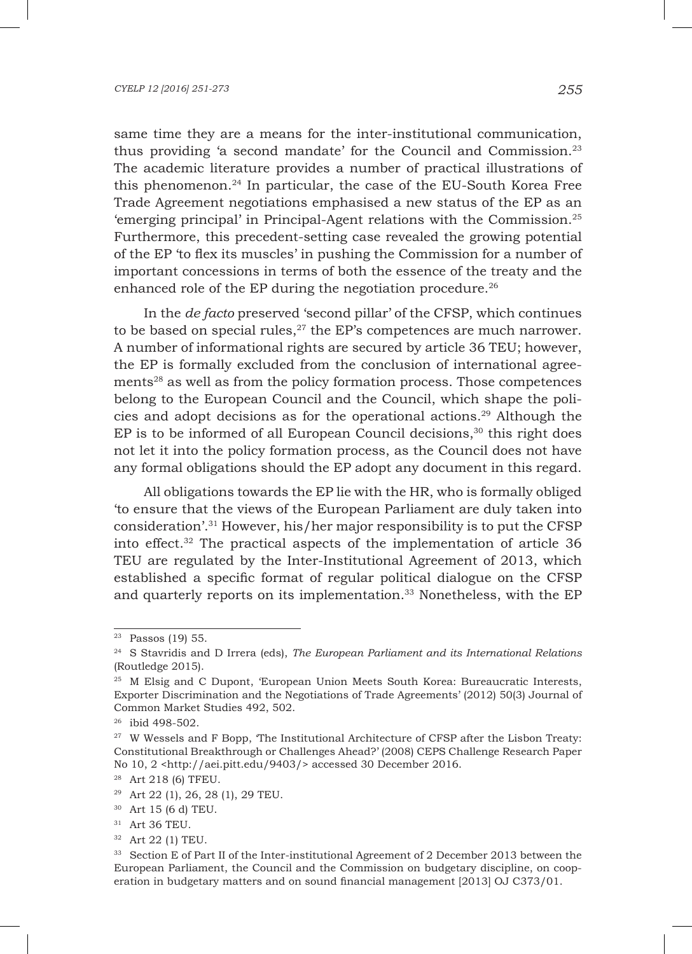same time they are a means for the inter-institutional communication, thus providing 'a second mandate' for the Council and Commission.23 The academic literature provides a number of practical illustrations of this phenomenon.24 In particular, the case of the EU-South Korea Free Trade Agreement negotiations emphasised a new status of the EP as an 'emerging principal' in Principal-Agent relations with the Commission.25 Furthermore, this precedent-setting case revealed the growing potential of the EP 'to flex its muscles' in pushing the Commission for a number of important concessions in terms of both the essence of the treaty and the enhanced role of the EP during the negotiation procedure.<sup>26</sup>

In the *de facto* preserved 'second pillar' of the CFSP, which continues to be based on special rules, $27$  the EP's competences are much narrower. A number of informational rights are secured by article 36 TEU; however, the EP is formally excluded from the conclusion of international agreements28 as well as from the policy formation process. Those competences belong to the European Council and the Council, which shape the policies and adopt decisions as for the operational actions.29 Although the  $EP$  is to be informed of all European Council decisions, $30$  this right does not let it into the policy formation process, as the Council does not have any formal obligations should the EP adopt any document in this regard.

All obligations towards the EP lie with the HR, who is formally obliged 'to ensure that the views of the European Parliament are duly taken into consideration'.31 However, his/her major responsibility is to put the CFSP into effect.32 The practical aspects of the implementation of article 36 TEU are regulated by the Inter-Institutional Agreement of 2013, which established a specific format of regular political dialogue on the CFSP and quarterly reports on its implementation.<sup>33</sup> Nonetheless, with the EP

<sup>23</sup> Passos (19) 55.

<sup>24</sup> S Stavridis and D Irrera (eds), *The European Parliament and its International Relations* (Routledge 2015).

<sup>25</sup> M Elsig and C Dupont, 'European Union Meets South Korea: Bureaucratic Interests, Exporter Discrimination and the Negotiations of Trade Agreements' (2012) 50(3) Journal of Common Market Studies 492, 502.

<sup>26</sup> ibid 498-502.

<sup>&</sup>lt;sup>27</sup> W Wessels and F Bopp, The Institutional Architecture of CFSP after the Lisbon Treaty: Constitutional Breakthrough or Challenges Ahead?' (2008) CEPS Challenge Research Paper No 10, 2 <http://aei.pitt.edu/9403/> accessed 30 December 2016.

<sup>28</sup> Art 218 (6) TFEU.

<sup>&</sup>lt;sup>29</sup> Art 22 (1), 26, 28 (1), 29 TEU.

<sup>30</sup> Art 15 (6 d) TEU.

<sup>31</sup> Art 36 TEU.

<sup>32</sup> Art 22 (1) TEU.

<sup>33</sup> Section E of Part II of the Inter-institutional Agreement of 2 December 2013 between the European Parliament, the Council and the Commission on budgetary discipline, on cooperation in budgetary matters and on sound financial management [2013] OJ C373/01.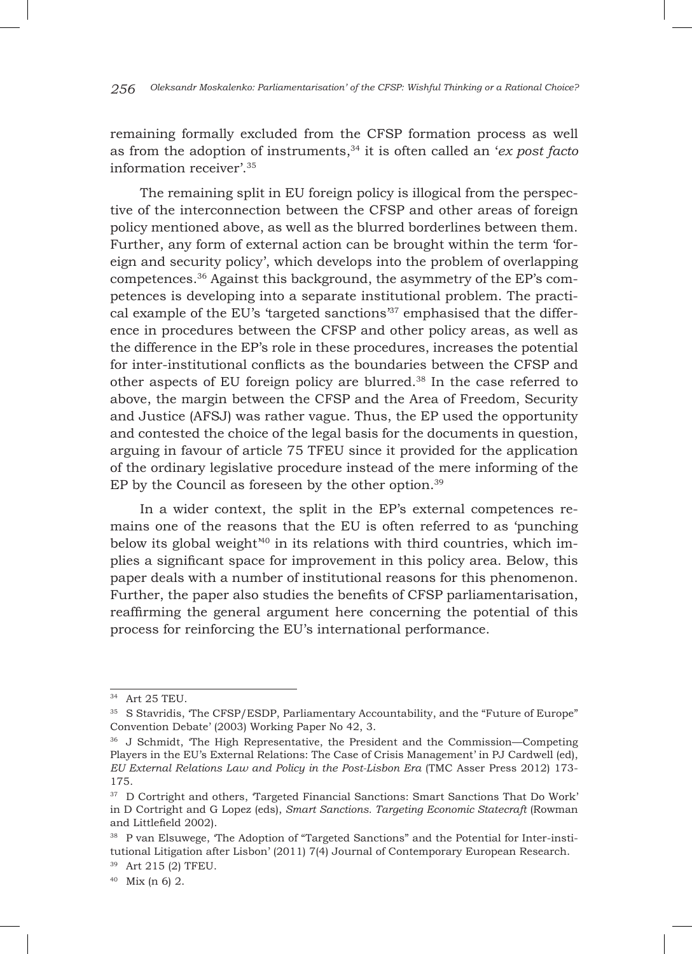remaining formally excluded from the CFSP formation process as well as from the adoption of instruments,<sup>34</sup> it is often called an '*ex post facto* information receiver'.35

The remaining split in EU foreign policy is illogical from the perspective of the interconnection between the CFSP and other areas of foreign policy mentioned above, as well as the blurred borderlines between them. Further, any form of external action can be brought within the term 'foreign and security policy', which develops into the problem of overlapping competences.36 Against this background, the asymmetry of the EP's competences is developing into a separate institutional problem. The practical example of the EU's 'targeted sanctions $37$ ' emphasised that the difference in procedures between the CFSP and other policy areas, as well as the difference in the EP's role in these procedures, increases the potential for inter-institutional conflicts as the boundaries between the CFSP and other aspects of EU foreign policy are blurred.38 In the case referred to above, the margin between the CFSP and the Area of Freedom, Security and Justice (AFSJ) was rather vague. Thus, the EP used the opportunity and contested the choice of the legal basis for the documents in question, arguing in favour of article 75 TFEU since it provided for the application of the ordinary legislative procedure instead of the mere informing of the EP by the Council as foreseen by the other option.39

In a wider context, the split in the EP's external competences remains one of the reasons that the EU is often referred to as 'punching below its global weight $40$  in its relations with third countries, which implies a significant space for improvement in this policy area. Below, this paper deals with a number of institutional reasons for this phenomenon. Further, the paper also studies the benefits of CFSP parliamentarisation, reaffirming the general argument here concerning the potential of this process for reinforcing the EU's international performance.

<sup>34</sup> Art 25 TEU.

<sup>&</sup>lt;sup>35</sup> S Stavridis, 'The CFSP/ESDP, Parliamentary Accountability, and the "Future of Europe" Convention Debate' (2003) Working Paper No 42, 3.

<sup>36</sup> J Schmidt, 'The High Representative, the President and the Commission—Competing Players in the EU's External Relations: The Case of Crisis Management' in PJ Cardwell (ed), *EU External Relations Law and Policy in the Post-Lisbon Era* (TMC Asser Press 2012) 173- 175.

 $^\mathrm{37}$  D Cortright and others, 'Targeted Financial Sanctions: Smart Sanctions That Do Work' in D Cortright and G Lopez (eds), *Smart Sanctions. Targeting Economic Statecraft* (Rowman and Littlefield 2002).

<sup>&</sup>lt;sup>38</sup> P van Elsuwege, 'The Adoption of "Targeted Sanctions" and the Potential for Inter-institutional Litigation after Lisbon' (2011) 7(4) Journal of Contemporary European Research.

<sup>39</sup> Art 215 (2) TFEU.

 $40$  Mix (n 6) 2.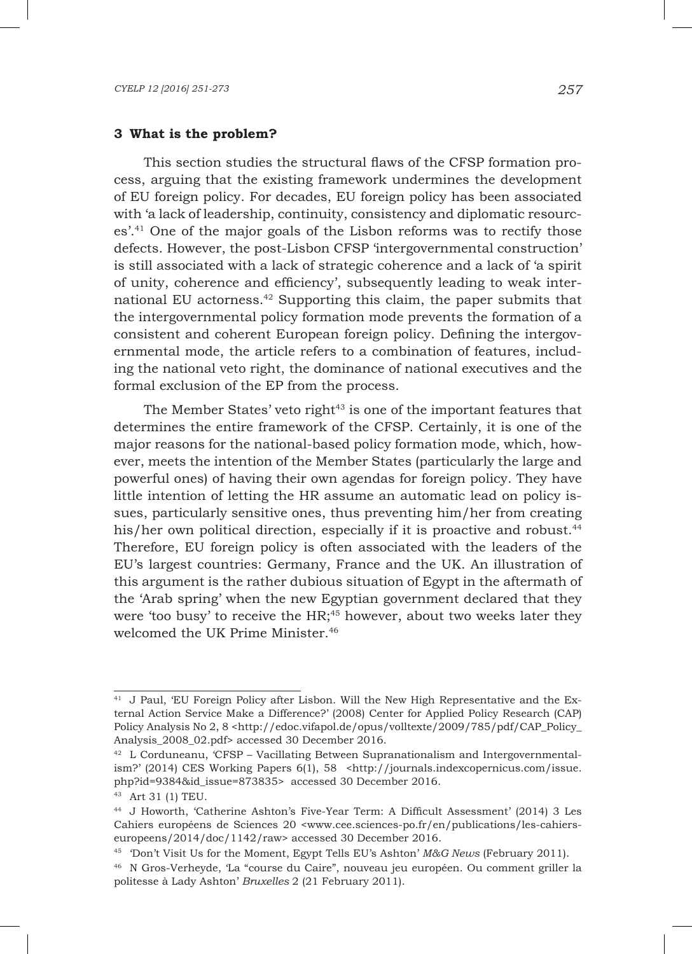### **3 What is the problem?**

This section studies the structural flaws of the CFSP formation process, arguing that the existing framework undermines the development of EU foreign policy. For decades, EU foreign policy has been associated with 'a lack of leadership, continuity, consistency and diplomatic resources'.41 One of the major goals of the Lisbon reforms was to rectify those defects. However, the post-Lisbon CFSP 'intergovernmental construction' is still associated with a lack of strategic coherence and a lack of 'a spirit of unity, coherence and efficiency', subsequently leading to weak international EU actorness.42 Supporting this claim, the paper submits that the intergovernmental policy formation mode prevents the formation of a consistent and coherent European foreign policy. Defining the intergovernmental mode, the article refers to a combination of features, including the national veto right, the dominance of national executives and the formal exclusion of the EP from the process.

The Member States' veto right $43$  is one of the important features that determines the entire framework of the CFSP. Certainly, it is one of the major reasons for the national-based policy formation mode, which, however, meets the intention of the Member States (particularly the large and powerful ones) of having their own agendas for foreign policy. They have little intention of letting the HR assume an automatic lead on policy issues, particularly sensitive ones, thus preventing him/her from creating his/her own political direction, especially if it is proactive and robust.<sup>44</sup> Therefore, EU foreign policy is often associated with the leaders of the EU's largest countries: Germany, France and the UK. An illustration of this argument is the rather dubious situation of Egypt in the aftermath of the 'Arab spring' when the new Egyptian government declared that they were 'too busy' to receive the HR;<sup>45</sup> however, about two weeks later they welcomed the UK Prime Minister.<sup>46</sup>

<sup>41</sup> J Paul, 'EU Foreign Policy after Lisbon. Will the New High Representative and the External Action Service Make a Difference?' (2008) Center for Applied Policy Research (CAP) Policy Analysis No 2, 8 <http://edoc.vifapol.de/opus/volltexte/2009/785/pdf/CAP\_Policy\_ Analysis\_2008\_02.pdf> accessed 30 December 2016.

 $42$  L Corduneanu, 'CFSP – Vacillating Between Supranationalism and Intergovernmentalism?' (2014) CES Working Papers 6(1), 58 <http://journals.indexcopernicus.com/issue. php?id=9384&id\_issue=873835> accessed 30 December 2016.

<sup>43</sup> Art 31 (1) TEU.

<sup>44</sup> J Howorth, 'Catherine Ashton's Five-Year Term: A Difficult Assessment' (2014) 3 Les Cahiers européens de Sciences 20 <www.cee.sciences-po.fr/en/publications/les-cahierseuropeens/2014/doc/1142/raw> accessed 30 December 2016.

<sup>45</sup> 'Don't Visit Us for the Moment, Egypt Tells EU's Ashton' *M&G News* (February 2011).

<sup>46</sup> N Gros-Verheyde, 'La "course du Caire", nouveau jeu européen. Ou comment griller la politesse à Lady Ashton' *Bruxelles* 2 (21 February 2011).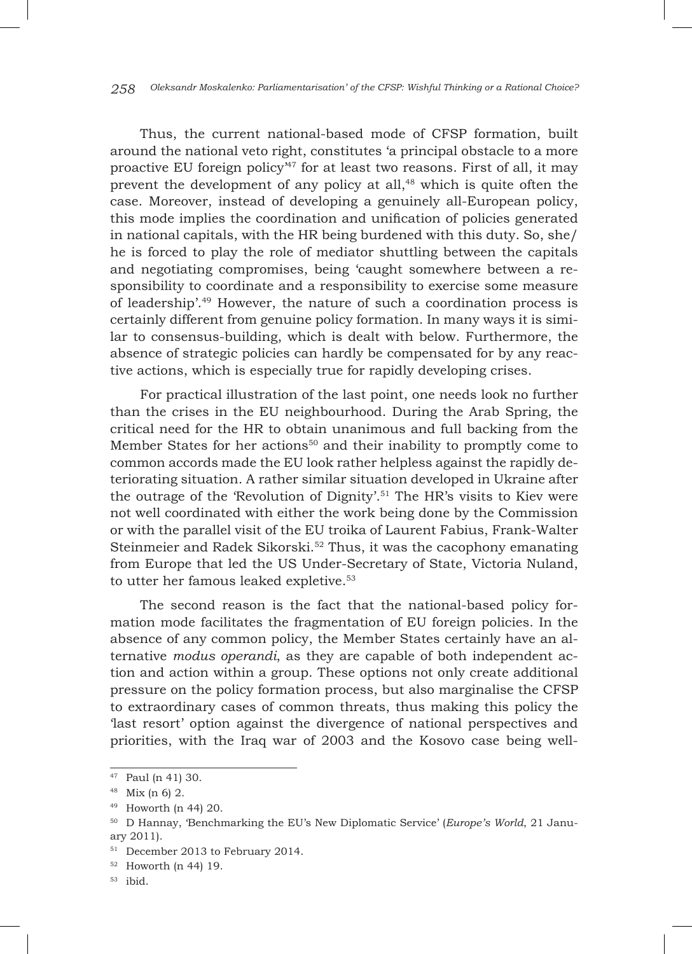Thus, the current national-based mode of CFSP formation, built around the national veto right, constitutes 'a principal obstacle to a more proactive EU foreign policy<sup>47</sup> for at least two reasons. First of all, it may prevent the development of any policy at all,<sup>48</sup> which is quite often the case. Moreover, instead of developing a genuinely all-European policy, this mode implies the coordination and unification of policies generated in national capitals, with the HR being burdened with this duty. So, she/ he is forced to play the role of mediator shuttling between the capitals and negotiating compromises, being 'caught somewhere between a responsibility to coordinate and a responsibility to exercise some measure of leadership'.49 However, the nature of such a coordination process is certainly different from genuine policy formation. In many ways it is similar to consensus-building, which is dealt with below. Furthermore, the absence of strategic policies can hardly be compensated for by any reactive actions, which is especially true for rapidly developing crises.

For practical illustration of the last point, one needs look no further than the crises in the EU neighbourhood. During the Arab Spring, the critical need for the HR to obtain unanimous and full backing from the Member States for her actions<sup>50</sup> and their inability to promptly come to common accords made the EU look rather helpless against the rapidly deteriorating situation. A rather similar situation developed in Ukraine after the outrage of the 'Revolution of Dignity'.<sup>51</sup> The HR's visits to Kiev were not well coordinated with either the work being done by the Commission or with the parallel visit of the EU troika of Laurent Fabius, Frank-Walter Steinmeier and Radek Sikorski.52 Thus, it was the cacophony emanating from Europe that led the US Under-Secretary of State, Victoria Nuland, to utter her famous leaked expletive.<sup>53</sup>

The second reason is the fact that the national-based policy formation mode facilitates the fragmentation of EU foreign policies. In the absence of any common policy, the Member States certainly have an alternative *modus operandi*, as they are capable of both independent action and action within a group. These options not only create additional pressure on the policy formation process, but also marginalise the CFSP to extraordinary cases of common threats, thus making this policy the 'last resort' option against the divergence of national perspectives and priorities, with the Iraq war of 2003 and the Kosovo case being well-

<sup>47</sup> Paul (n 41) 30.

<sup>48</sup> Mix (n 6) 2.

<sup>49</sup> Howorth (n 44) 20.

<sup>50</sup> D Hannay, 'Benchmarking the EU's New Diplomatic Service' (*Europe's World*, 21 January 2011).

<sup>51</sup> December 2013 to February 2014.

<sup>52</sup> Howorth (n 44) 19.

 $53$  ibid.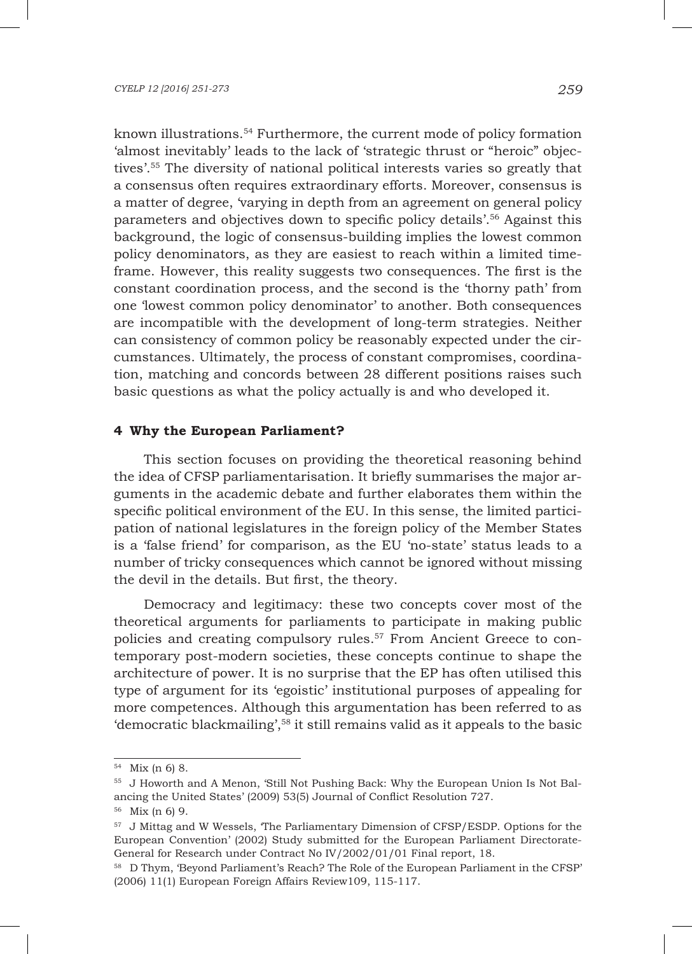known illustrations.54 Furthermore, the current mode of policy formation 'almost inevitably' leads to the lack of 'strategic thrust or "heroic" objectives'.55 The diversity of national political interests varies so greatly that a consensus often requires extraordinary efforts. Moreover, consensus is a matter of degree, 'varying in depth from an agreement on general policy parameters and objectives down to specific policy details'.56 Against this background, the logic of consensus-building implies the lowest common policy denominators, as they are easiest to reach within a limited timeframe. However, this reality suggests two consequences. The first is the constant coordination process, and the second is the 'thorny path' from one 'lowest common policy denominator' to another. Both consequences are incompatible with the development of long-term strategies. Neither can consistency of common policy be reasonably expected under the circumstances. Ultimately, the process of constant compromises, coordination, matching and concords between 28 different positions raises such basic questions as what the policy actually is and who developed it.

## **4 Why the European Parliament?**

This section focuses on providing the theoretical reasoning behind the idea of CFSP parliamentarisation. It briefly summarises the major arguments in the academic debate and further elaborates them within the specific political environment of the EU. In this sense, the limited participation of national legislatures in the foreign policy of the Member States is a 'false friend' for comparison, as the EU 'no-state' status leads to a number of tricky consequences which cannot be ignored without missing the devil in the details. But first, the theory.

Democracy and legitimacy: these two concepts cover most of the theoretical arguments for parliaments to participate in making public policies and creating compulsory rules.57 From Ancient Greece to contemporary post-modern societies, these concepts continue to shape the architecture of power. It is no surprise that the EP has often utilised this type of argument for its 'egoistic' institutional purposes of appealing for more competences. Although this argumentation has been referred to as 'democratic blackmailing',<sup>58</sup> it still remains valid as it appeals to the basic

<sup>54</sup> Mix (n 6) 8.

<sup>55</sup> J Howorth and A Menon, 'Still Not Pushing Back: Why the European Union Is Not Balancing the United States' (2009) 53(5) Journal of Conflict Resolution 727.

<sup>56</sup> Mix (n 6) 9.

<sup>57</sup> J Mittag and W Wessels, 'The Parliamentary Dimension of CFSP/ESDP. Options for the European Convention' (2002) Study submitted for the European Parliament Directorate-General for Research under Contract No IV/2002/01/01 Final report, 18.

<sup>58</sup> D Thym, 'Beyond Parliament's Reach? The Role of the European Parliament in the CFSP' (2006) 11(1) European Foreign Affairs Review109, 115-117.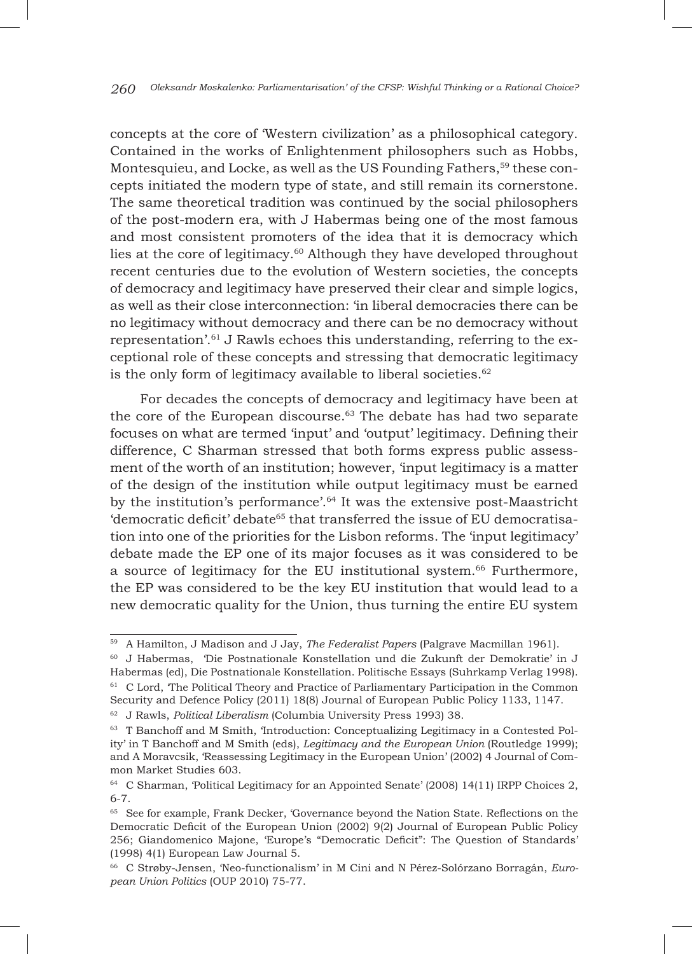concepts at the core of 'Western civilization' as a philosophical category. Contained in the works of Enlightenment philosophers such as Hobbs, Montesquieu, and Locke, as well as the US Founding Fathers,  $59$  these concepts initiated the modern type of state, and still remain its cornerstone. The same theoretical tradition was continued by the social philosophers of the post-modern era, with J Habermas being one of the most famous and most consistent promoters of the idea that it is democracy which lies at the core of legitimacy.60 Although they have developed throughout recent centuries due to the evolution of Western societies, the concepts of democracy and legitimacy have preserved their clear and simple logics, as well as their close interconnection: 'in liberal democracies there can be no legitimacy without democracy and there can be no democracy without representation'.61 J Rawls echoes this understanding, referring to the exceptional role of these concepts and stressing that democratic legitimacy is the only form of legitimacy available to liberal societies. $62$ 

For decades the concepts of democracy and legitimacy have been at the core of the European discourse.<sup>63</sup> The debate has had two separate focuses on what are termed 'input' and 'output' legitimacy. Defining their difference, C Sharman stressed that both forms express public assessment of the worth of an institution; however, 'input legitimacy is a matter of the design of the institution while output legitimacy must be earned by the institution's performance'.64 It was the extensive post-Maastricht 'democratic deficit' debate<sup>65</sup> that transferred the issue of EU democratisation into one of the priorities for the Lisbon reforms. The 'input legitimacy' debate made the EP one of its major focuses as it was considered to be a source of legitimacy for the EU institutional system.66 Furthermore, the EP was considered to be the key EU institution that would lead to a new democratic quality for the Union, thus turning the entire EU system

<sup>59</sup> A Hamilton, J Madison and J Jay, *The Federalist Papers* (Palgrave Macmillan 1961).

<sup>60</sup> J Habermas, 'Die Postnationale Konstellation und die Zukunft der Demokratie' in J Habermas (ed), Die Postnationale Konstellation. Politische Essays (Suhrkamp Verlag 1998). <sup>61</sup> C Lord, 'The Political Theory and Practice of Parliamentary Participation in the Common Security and Defence Policy (2011) 18(8) Journal of European Public Policy 1133, 1147.

<sup>62</sup> J Rawls, *Political Liberalism* (Columbia University Press 1993) 38.

<sup>63</sup> T Banchoff and M Smith, 'Introduction: Conceptualizing Legitimacy in a Contested Polity' in T Banchoff and M Smith (eds), *Legitimacy and the European Union* (Routledge 1999); and A Moravcsik, 'Reassessing Legitimacy in the European Union' (2002) 4 Journal of Common Market Studies 603.

<sup>64</sup> C Sharman, 'Political Legitimacy for an Appointed Senate' (2008) 14(11) IRPP Choices 2, 6-7.

<sup>&</sup>lt;sup>65</sup> See for example, Frank Decker, 'Governance beyond the Nation State. Reflections on the Democratic Deficit of the European Union (2002) 9(2) Journal of European Public Policy 256; Giandomenico Majone, 'Europe's "Democratic Deficit": The Question of Standards' (1998) 4(1) European Law Journal 5.

<sup>66</sup> C Strøby-Jensen, 'Neo-functionalism' in M Cini and N Pérez-Solórzano Borragán, *European Union Politics* (OUP 2010) 75-77.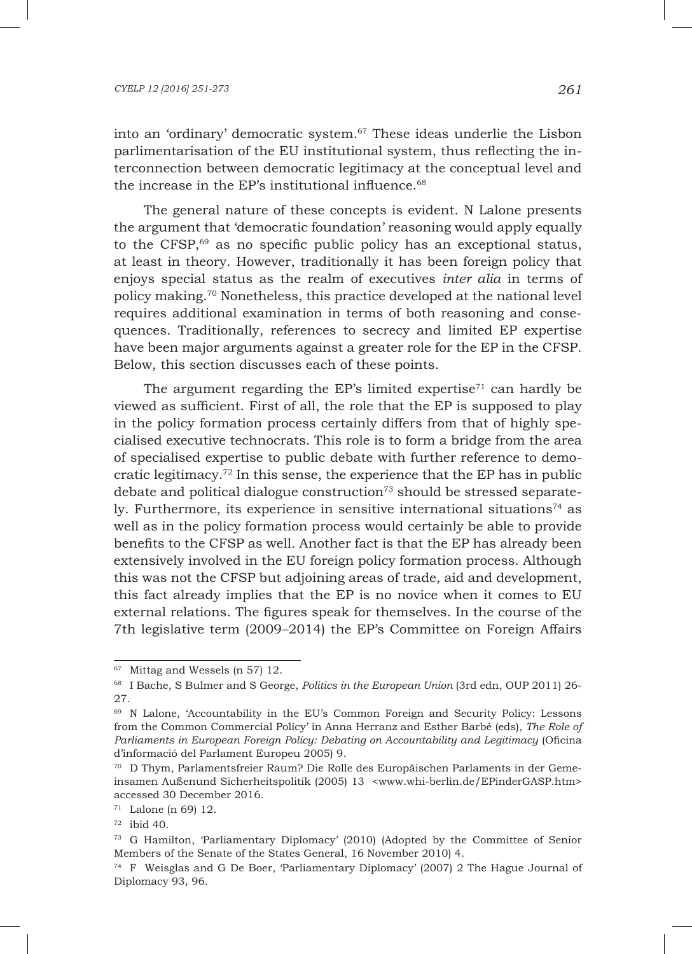#### *CYELP 12 [2016] 251-273 261*

into an 'ordinary' democratic system.<sup>67</sup> These ideas underlie the Lisbon parlimentarisation of the EU institutional system, thus reflecting the interconnection between democratic legitimacy at the conceptual level and the increase in the EP's institutional influence.<sup>68</sup>

The general nature of these concepts is evident. N Lalone presents the argument that 'democratic foundation' reasoning would apply equally to the CFSP,<sup>69</sup> as no specific public policy has an exceptional status, at least in theory. However, traditionally it has been foreign policy that enjoys special status as the realm of executives *inter alia* in terms of policy making.70 Nonetheless, this practice developed at the national level requires additional examination in terms of both reasoning and consequences. Traditionally, references to secrecy and limited EP expertise have been major arguments against a greater role for the EP in the CFSP. Below, this section discusses each of these points.

The argument regarding the EP's limited expertise<sup> $71$ </sup> can hardly be viewed as sufficient. First of all, the role that the EP is supposed to play in the policy formation process certainly differs from that of highly specialised executive technocrats. This role is to form a bridge from the area of specialised expertise to public debate with further reference to democratic legitimacy.72 In this sense, the experience that the EP has in public debate and political dialogue construction<sup> $73$ </sup> should be stressed separately. Furthermore, its experience in sensitive international situations<sup>74</sup> as well as in the policy formation process would certainly be able to provide benefits to the CFSP as well. Another fact is that the EP has already been extensively involved in the EU foreign policy formation process. Although this was not the CFSP but adjoining areas of trade, aid and development, this fact already implies that the EP is no novice when it comes to EU external relations. The figures speak for themselves. In the course of the 7th legislative term (2009–2014) the EP's Committee on Foreign Affairs

<sup>67</sup> Mittag and Wessels (n 57) 12.

<sup>68</sup> I Bache, S Bulmer and S George, *Politics in the European Union* (3rd edn, OUP 2011) 26- 27.

<sup>69</sup> N Lalone, 'Accountability in the EU's Common Foreign and Security Policy: Lessons from the Common Commercial Policy' in Anna Herranz and Esther Barbé (eds), *The Role of Parliaments in European Foreign Policy: Debating on Accountability and Legitimacy* (Oficina d'informació del Parlament Europeu 2005) 9.

<sup>70</sup> D Thym, Parlamentsfreier Raum? Die Rolle des Europäischen Parlaments in der Gemeinsamen Außenund Sicherheitspolitik (2005) 13 <www.whi-berlin.de/EPinderGASP.htm> accessed 30 December 2016.

<sup>71</sup> Lalone (n 69) 12.

 $72$  ibid 40.

<sup>73</sup> G Hamilton, 'Parliamentary Diplomacy' (2010) (Adopted by the Committee of Senior Members of the Senate of the States General, 16 November 2010) 4.

<sup>74</sup> F Weisglas and G De Boer, 'Parliamentary Diplomacy' (2007) 2 The Hague Journal of Diplomacy 93, 96.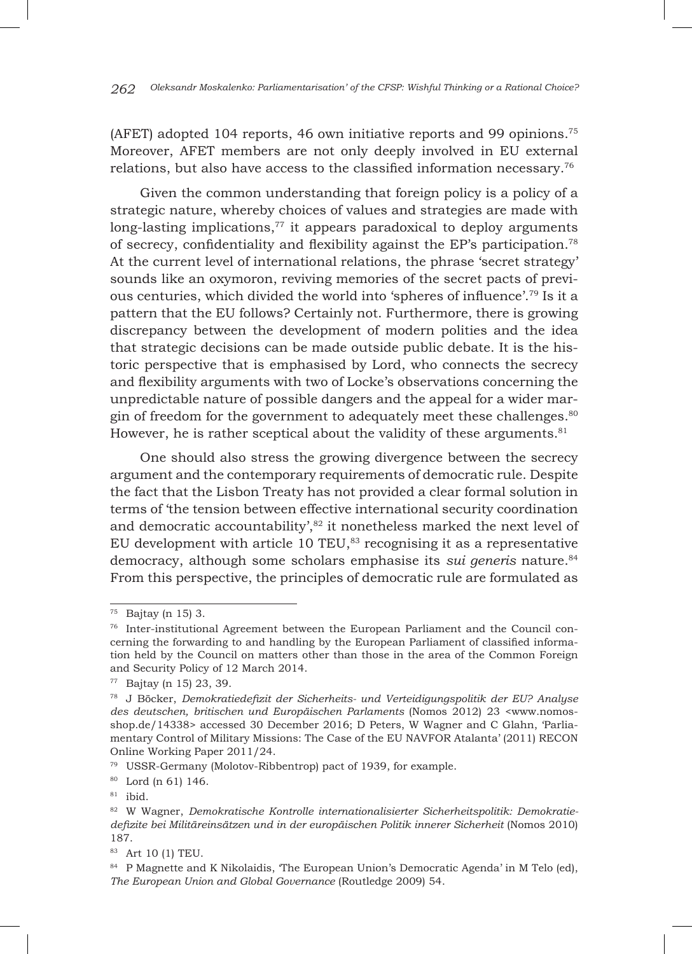*262 Oleksandr Moskalenko: Parliamentarisation' of the cfsp: Wishful Thinking or a Rational Choice?*

(AFET) adopted 104 reports, 46 own initiative reports and 99 opinions.75 Moreover, AFET members are not only deeply involved in EU external relations, but also have access to the classified information necessary.76

Given the common understanding that foreign policy is a policy of a strategic nature, whereby choices of values and strategies are made with long-lasting implications, $77$  it appears paradoxical to deploy arguments of secrecy, confidentiality and flexibility against the EP's participation.78 At the current level of international relations, the phrase 'secret strategy' sounds like an oxymoron, reviving memories of the secret pacts of previous centuries, which divided the world into 'spheres of influence'.79 Is it a pattern that the EU follows? Certainly not. Furthermore, there is growing discrepancy between the development of modern polities and the idea that strategic decisions can be made outside public debate. It is the historic perspective that is emphasised by Lord, who connects the secrecy and flexibility arguments with two of Locke's observations concerning the unpredictable nature of possible dangers and the appeal for a wider margin of freedom for the government to adequately meet these challenges.<sup>80</sup> However, he is rather sceptical about the validity of these arguments. $81$ 

One should also stress the growing divergence between the secrecy argument and the contemporary requirements of democratic rule. Despite the fact that the Lisbon Treaty has not provided a clear formal solution in terms of 'the tension between effective international security coordination and democratic accountability', 82 it nonetheless marked the next level of EU development with article 10 TEU, $^{83}$  recognising it as a representative democracy, although some scholars emphasise its *sui generis* nature.<sup>84</sup> From this perspective, the principles of democratic rule are formulated as

<sup>75</sup> Bajtay (n 15) 3.

<sup>76</sup> Inter-institutional Agreement between the European Parliament and the Council concerning the forwarding to and handling by the European Parliament of classified information held by the Council on matters other than those in the area of the Common Foreign and Security Policy of 12 March 2014.

<sup>77</sup> Bajtay (n 15) 23, 39.

<sup>78</sup> J Böcker, *Demokratiedefizit der Sicherheits- und Verteidigungspolitik der EU? Analyse des deutschen, britischen und Europäischen Parlaments* (Nomos 2012) 23 <www.nomosshop.de/14338> accessed 30 December 2016; D Peters, W Wagner and C Glahn, 'Parliamentary Control of Military Missions: The Case of the EU NAVFOR Atalanta' (2011) RECON Online Working Paper 2011/24.

<sup>79</sup> USSR-Germany (Molotov-Ribbentrop) pact of 1939, for example.

<sup>80</sup> Lord (n 61) 146.

<sup>81</sup> ibid.

<sup>82</sup> W Wagner, *Demokratische Kontrolle internationalisierter Sicherheitspolitik: Demokratiedefizite bei Militäreinsätzen und in der europäischen Politik innerer Sicherheit* (Nomos 2010) 187.

<sup>83</sup> Art 10 (1) TEU.

<sup>&</sup>lt;sup>84</sup> P Magnette and K Nikolaidis, 'The European Union's Democratic Agenda' in M Telo (ed), *The European Union and Global Governance* (Routledge 2009) 54.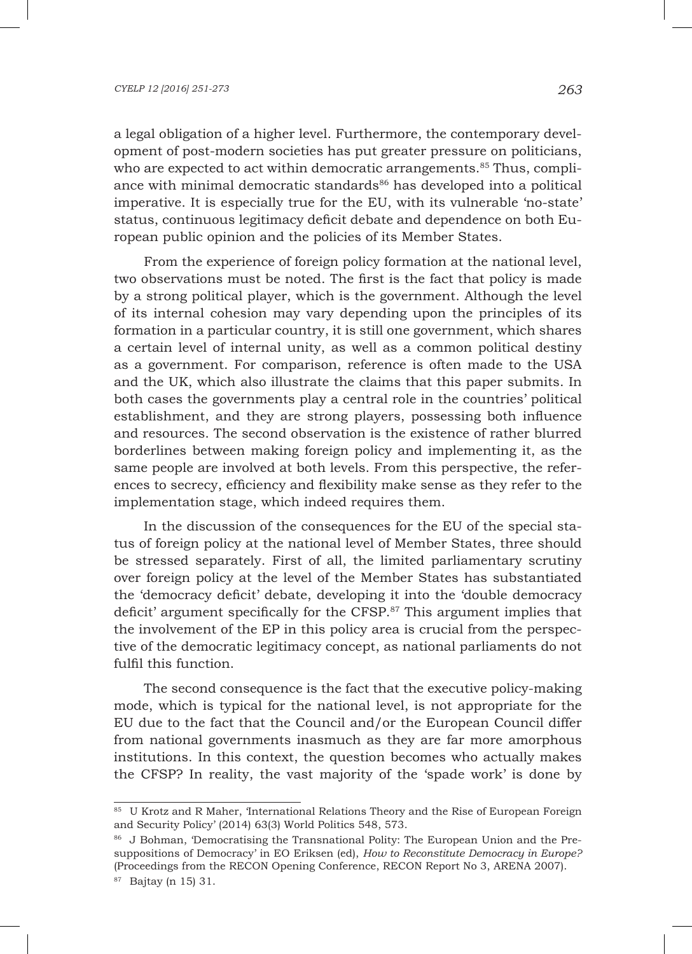#### *CYELP 12 [2016] 251-273 263*

a legal obligation of a higher level. Furthermore, the contemporary development of post-modern societies has put greater pressure on politicians, who are expected to act within democratic arrangements.<sup>85</sup> Thus, compliance with minimal democratic standards<sup>86</sup> has developed into a political imperative. It is especially true for the EU, with its vulnerable 'no-state' status, continuous legitimacy deficit debate and dependence on both European public opinion and the policies of its Member States.

From the experience of foreign policy formation at the national level, two observations must be noted. The first is the fact that policy is made by a strong political player, which is the government. Although the level of its internal cohesion may vary depending upon the principles of its formation in a particular country, it is still one government, which shares a certain level of internal unity, as well as a common political destiny as a government. For comparison, reference is often made to the USA and the UK, which also illustrate the claims that this paper submits. In both cases the governments play a central role in the countries' political establishment, and they are strong players, possessing both influence and resources. The second observation is the existence of rather blurred borderlines between making foreign policy and implementing it, as the same people are involved at both levels. From this perspective, the references to secrecy, efficiency and flexibility make sense as they refer to the implementation stage, which indeed requires them.

In the discussion of the consequences for the EU of the special status of foreign policy at the national level of Member States, three should be stressed separately. First of all, the limited parliamentary scrutiny over foreign policy at the level of the Member States has substantiated the 'democracy deficit' debate, developing it into the 'double democracy deficit' argument specifically for the CFSP.87 This argument implies that the involvement of the EP in this policy area is crucial from the perspective of the democratic legitimacy concept, as national parliaments do not fulfil this function.

The second consequence is the fact that the executive policy-making mode, which is typical for the national level, is not appropriate for the EU due to the fact that the Council and/or the European Council differ from national governments inasmuch as they are far more amorphous institutions. In this context, the question becomes who actually makes the CFSP? In reality, the vast majority of the 'spade work' is done by

<sup>&</sup>lt;sup>85</sup> U Krotz and R Maher, 'International Relations Theory and the Rise of European Foreign and Security Policy' (2014) 63(3) World Politics 548, 573.

<sup>86</sup> J Bohman, 'Democratising the Transnational Polity: The European Union and the Presuppositions of Democracy' in EO Eriksen (ed), *How to Reconstitute Democracy in Europe?*  (Proceedings from the RECON Opening Conference, RECON Report No 3, ARENA 2007).

<sup>87</sup> Bajtay (n 15) 31.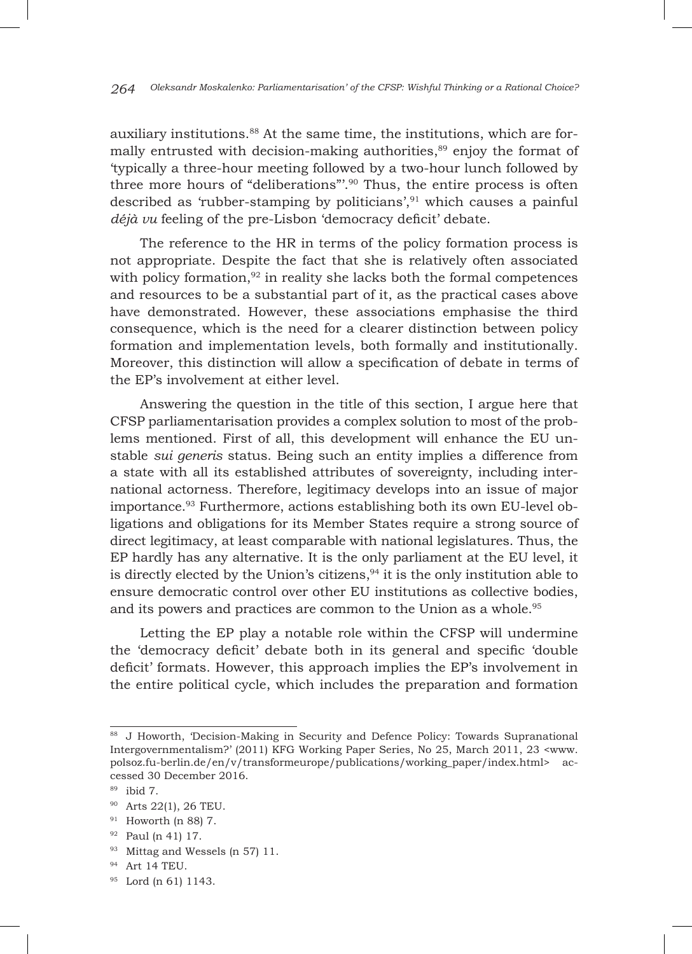auxiliary institutions.<sup>88</sup> At the same time, the institutions, which are formally entrusted with decision-making authorities,<sup>89</sup> enjoy the format of 'typically a three-hour meeting followed by a two-hour lunch followed by three more hours of "deliberations"'.90 Thus, the entire process is often described as 'rubber-stamping by politicians', $91$  which causes a painful *déjà vu* feeling of the pre-Lisbon 'democracy deficit' debate.

The reference to the HR in terms of the policy formation process is not appropriate. Despite the fact that she is relatively often associated with policy formation, $92$  in reality she lacks both the formal competences and resources to be a substantial part of it, as the practical cases above have demonstrated. However, these associations emphasise the third consequence, which is the need for a clearer distinction between policy formation and implementation levels, both formally and institutionally. Moreover, this distinction will allow a specification of debate in terms of the EP's involvement at either level.

Answering the question in the title of this section, I argue here that CFSP parliamentarisation provides a complex solution to most of the problems mentioned. First of all, this development will enhance the EU unstable *sui generis* status. Being such an entity implies a difference from a state with all its established attributes of sovereignty, including international actorness. Therefore, legitimacy develops into an issue of major importance.93 Furthermore, actions establishing both its own EU-level obligations and obligations for its Member States require a strong source of direct legitimacy, at least comparable with national legislatures. Thus, the EP hardly has any alternative. It is the only parliament at the EU level, it is directly elected by the Union's citizens,  $94$  it is the only institution able to ensure democratic control over other EU institutions as collective bodies, and its powers and practices are common to the Union as a whole. <sup>95</sup>

Letting the EP play a notable role within the CFSP will undermine the 'democracy deficit' debate both in its general and specific 'double deficit' formats. However, this approach implies the EP's involvement in the entire political cycle, which includes the preparation and formation

<sup>88</sup> J Howorth, 'Decision-Making in Security and Defence Policy: Towards Supranational Intergovernmentalism?' (2011) KFG Working Paper Series, No 25, March 2011, 23 <www. polsoz.fu-berlin.de/en/v/transformeurope/publications/working\_paper/index.html> accessed 30 December 2016.

<sup>89</sup> ibid 7.

<sup>90</sup> Arts 22(1), 26 TEU.

 $91$  Howorth (n 88) 7.

<sup>92</sup> Paul (n 41) 17.

<sup>93</sup> Mittag and Wessels (n 57) 11.

<sup>94</sup> Art 14 TEU.

<sup>95</sup> Lord (n 61) 1143.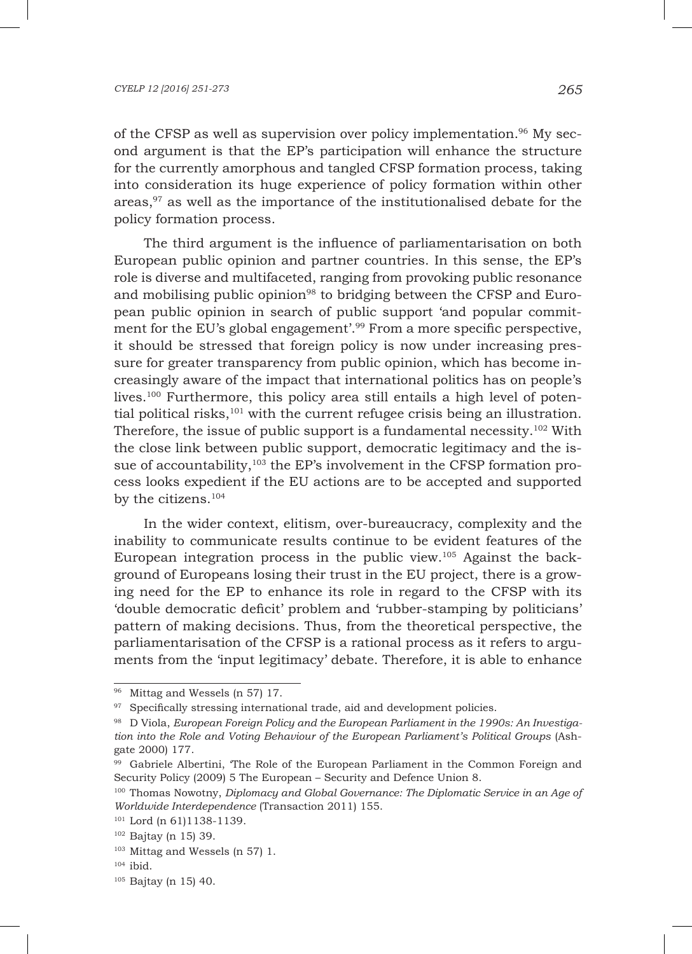#### *CYELP 12 [2016] 251-273 265*

of the CFSP as well as supervision over policy implementation.<sup>96</sup> My second argument is that the EP's participation will enhance the structure for the currently amorphous and tangled CFSP formation process, taking into consideration its huge experience of policy formation within other areas,<sup>97</sup> as well as the importance of the institutionalised debate for the policy formation process.

The third argument is the influence of parliamentarisation on both European public opinion and partner countries. In this sense, the EP's role is diverse and multifaceted, ranging from provoking public resonance and mobilising public opinion<sup>98</sup> to bridging between the CFSP and European public opinion in search of public support 'and popular commitment for the EU's global engagement'.<sup>99</sup> From a more specific perspective, it should be stressed that foreign policy is now under increasing pressure for greater transparency from public opinion, which has become increasingly aware of the impact that international politics has on people's lives.<sup>100</sup> Furthermore, this policy area still entails a high level of potential political risks,<sup>101</sup> with the current refugee crisis being an illustration. Therefore, the issue of public support is a fundamental necessity.102 With the close link between public support, democratic legitimacy and the issue of accountability,<sup>103</sup> the EP's involvement in the CFSP formation process looks expedient if the EU actions are to be accepted and supported by the citizens.<sup>104</sup>

In the wider context, elitism, over-bureaucracy, complexity and the inability to communicate results continue to be evident features of the European integration process in the public view.105 Against the background of Europeans losing their trust in the EU project, there is a growing need for the EP to enhance its role in regard to the CFSP with its 'double democratic deficit' problem and 'rubber-stamping by politicians' pattern of making decisions. Thus, from the theoretical perspective, the parliamentarisation of the CFSP is a rational process as it refers to arguments from the 'input legitimacy' debate. Therefore, it is able to enhance

<sup>96</sup> Mittag and Wessels (n 57) 17.

<sup>97</sup> Specifically stressing international trade, aid and development policies.

<sup>98</sup> D Viola, *European Foreign Policy and the European Parliament in the 1990s: An Investigation into the Role and Voting Behaviour of the European Parliament's Political Groups* (Ashgate 2000) 177.

<sup>99</sup> Gabriele Albertini, 'The Role of the European Parliament in the Common Foreign and Security Policy (2009) 5 The European – Security and Defence Union 8.

<sup>100</sup> Thomas Nowotny, *Diplomacy and Global Governance: The Diplomatic Service in an Age of Worldwide Interdependence* (Transaction 2011) 155.

<sup>101</sup> Lord (n 61)1138-1139.

<sup>102</sup> Bajtay (n 15) 39.

<sup>103</sup> Mittag and Wessels (n 57) 1.

 $104$  ibid.

<sup>105</sup> Bajtay (n 15) 40.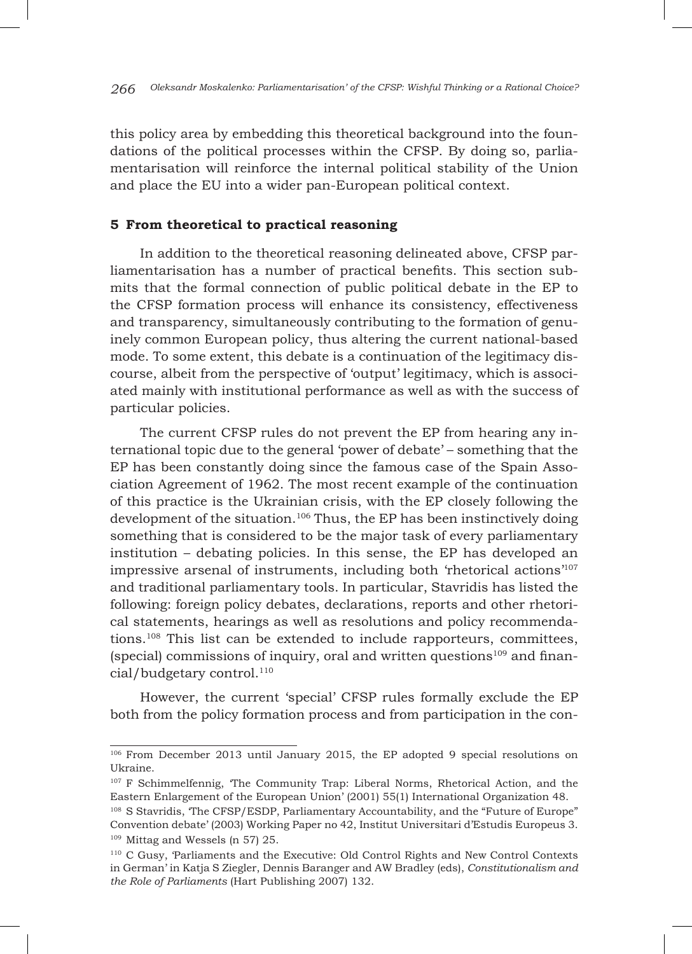this policy area by embedding this theoretical background into the foundations of the political processes within the CFSP. By doing so, parliamentarisation will reinforce the internal political stability of the Union and place the EU into a wider pan-European political context.

## **5 From theoretical to practical reasoning**

In addition to the theoretical reasoning delineated above, CFSP parliamentarisation has a number of practical benefits. This section submits that the formal connection of public political debate in the EP to the CFSP formation process will enhance its consistency, effectiveness and transparency, simultaneously contributing to the formation of genuinely common European policy, thus altering the current national-based mode. To some extent, this debate is a continuation of the legitimacy discourse, albeit from the perspective of 'output' legitimacy, which is associated mainly with institutional performance as well as with the success of particular policies.

The current CFSP rules do not prevent the EP from hearing any international topic due to the general 'power of debate' – something that the EP has been constantly doing since the famous case of the Spain Association Agreement of 1962. The most recent example of the continuation of this practice is the Ukrainian crisis, with the EP closely following the development of the situation.106 Thus, the EP has been instinctively doing something that is considered to be the major task of every parliamentary institution – debating policies. In this sense, the EP has developed an impressive arsenal of instruments, including both 'rhetorical actions'107 and traditional parliamentary tools. In particular, Stavridis has listed the following: foreign policy debates, declarations, reports and other rhetorical statements, hearings as well as resolutions and policy recommendations.108 This list can be extended to include rapporteurs, committees, (special) commissions of inquiry, oral and written questions<sup>109</sup> and financial/budgetary control.<sup>110</sup>

However, the current 'special' CFSP rules formally exclude the EP both from the policy formation process and from participation in the con-

<sup>106</sup> From December 2013 until January 2015, the EP adopted 9 special resolutions on Ukraine.

<sup>107</sup> F Schimmelfennig, 'The Community Trap: Liberal Norms, Rhetorical Action, and the Eastern Enlargement of the European Union' (2001) 55(1) International Organization 48.

<sup>108</sup> S Stavridis, 'The CFSP/ESDP, Parliamentary Accountability, and the "Future of Europe" Convention debate' (2003) Working Paper no 42, Institut Universitari d'Estudis Europeus 3. <sup>109</sup> Mittag and Wessels (n 57) 25.

<sup>110</sup> C Gusy, 'Parliaments and the Executive: Old Control Rights and New Control Contexts in German' in Katja S Ziegler, Dennis Baranger and AW Bradley (eds), *Constitutionalism and the Role of Parliaments* (Hart Publishing 2007) 132.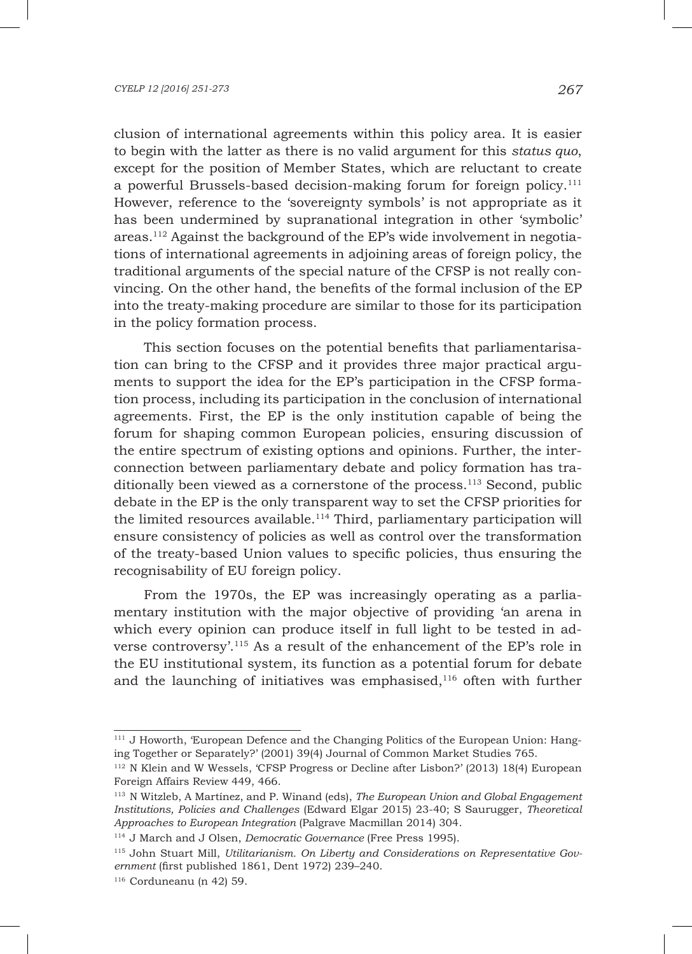clusion of international agreements within this policy area. It is easier to begin with the latter as there is no valid argument for this *status quo*, except for the position of Member States, which are reluctant to create a powerful Brussels-based decision-making forum for foreign policy.111 However, reference to the 'sovereignty symbols' is not appropriate as it has been undermined by supranational integration in other 'symbolic' areas.112 Against the background of the EP's wide involvement in negotiations of international agreements in adjoining areas of foreign policy, the traditional arguments of the special nature of the CFSP is not really convincing. On the other hand, the benefits of the formal inclusion of the EP into the treaty-making procedure are similar to those for its participation in the policy formation process.

This section focuses on the potential benefits that parliamentarisation can bring to the CFSP and it provides three major practical arguments to support the idea for the EP's participation in the CFSP formation process, including its participation in the conclusion of international agreements. First, the EP is the only institution capable of being the forum for shaping common European policies, ensuring discussion of the entire spectrum of existing options and opinions. Further, the interconnection between parliamentary debate and policy formation has traditionally been viewed as a cornerstone of the process. $113$  Second, public debate in the EP is the only transparent way to set the CFSP priorities for the limited resources available.<sup>114</sup> Third, parliamentary participation will ensure consistency of policies as well as control over the transformation of the treaty-based Union values to specific policies, thus ensuring the recognisability of EU foreign policy.

From the 1970s, the EP was increasingly operating as a parliamentary institution with the major objective of providing 'an arena in which every opinion can produce itself in full light to be tested in adverse controversy'.115 As a result of the enhancement of the EP's role in the EU institutional system, its function as a potential forum for debate and the launching of initiatives was emphasised,  $116$  often with further

<sup>&</sup>lt;sup>111</sup> J Howorth, 'European Defence and the Changing Politics of the European Union: Hanging Together or Separately?' (2001) 39(4) Journal of Common Market Studies 765.

<sup>112</sup> N Klein and W Wessels, 'CFSP Progress or Decline after Lisbon?' (2013) 18(4) European Foreign Affairs Review 449, 466.

<sup>113</sup> N Witzleb, A Martínez, and P. Winand (eds), *The European Union and Global Engagement Institutions, Policies and Challenges* (Edward Elgar 2015) 23-40; S Saurugger, *Theoretical Approaches to European Integration* (Palgrave Macmillan 2014) 304.

<sup>114</sup> J March and J Olsen, *Democratic Governance* (Free Press 1995).

<sup>115</sup> John Stuart Mill, *Utilitarianism. On Liberty and Considerations on Representative Government* (first published 1861, Dent 1972) 239–240.

<sup>116</sup> Corduneanu (n 42) 59.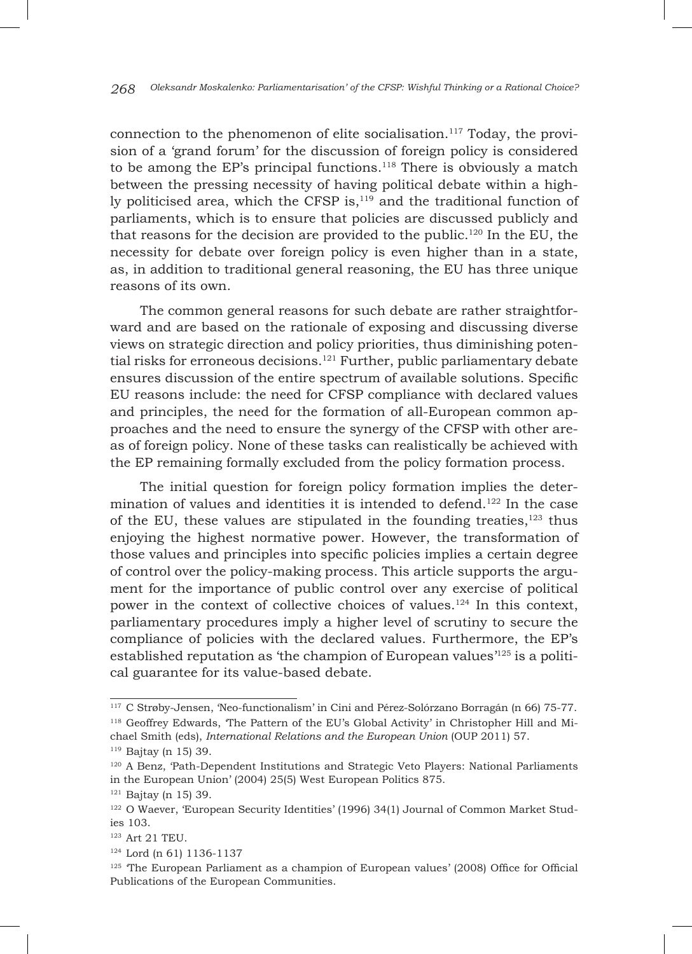connection to the phenomenon of elite socialisation.<sup>117</sup> Today, the provision of a 'grand forum' for the discussion of foreign policy is considered to be among the EP's principal functions.<sup>118</sup> There is obviously a match between the pressing necessity of having political debate within a highly politicised area, which the CFSP is,<sup>119</sup> and the traditional function of parliaments, which is to ensure that policies are discussed publicly and that reasons for the decision are provided to the public.<sup>120</sup> In the EU, the necessity for debate over foreign policy is even higher than in a state, as, in addition to traditional general reasoning, the EU has three unique reasons of its own.

The common general reasons for such debate are rather straightforward and are based on the rationale of exposing and discussing diverse views on strategic direction and policy priorities, thus diminishing potential risks for erroneous decisions.<sup>121</sup> Further, public parliamentary debate ensures discussion of the entire spectrum of available solutions. Specific EU reasons include: the need for CFSP compliance with declared values and principles, the need for the formation of all-European common approaches and the need to ensure the synergy of the CFSP with other areas of foreign policy. None of these tasks can realistically be achieved with the EP remaining formally excluded from the policy formation process.

The initial question for foreign policy formation implies the determination of values and identities it is intended to defend.<sup>122</sup> In the case of the EU, these values are stipulated in the founding treaties, $123$  thus enjoying the highest normative power. However, the transformation of those values and principles into specific policies implies a certain degree of control over the policy-making process. This article supports the argument for the importance of public control over any exercise of political power in the context of collective choices of values.<sup>124</sup> In this context, parliamentary procedures imply a higher level of scrutiny to secure the compliance of policies with the declared values. Furthermore, the EP's established reputation as 'the champion of European values $125$  is a political guarantee for its value-based debate.

<sup>117</sup> C Strøby-Jensen, 'Neo-functionalism' in Cini and Pérez-Solórzano Borragán (n 66) 75-77. <sup>118</sup> Geoffrey Edwards, 'The Pattern of the EU's Global Activity' in Christopher Hill and Michael Smith (eds), *International Relations and the European Union* (OUP 2011) 57. <sup>119</sup> Bajtay (n 15) 39.

<sup>120</sup> A Benz, 'Path-Dependent Institutions and Strategic Veto Players: National Parliaments in the European Union' (2004) 25(5) West European Politics 875.

 $121$  Bajtay (n 15) 39.

<sup>&</sup>lt;sup>122</sup> O Waever, 'European Security Identities' (1996) 34(1) Journal of Common Market Studies 103.

 $^\mathrm{123}$  Art 21 TEU.

<sup>124</sup> Lord (n 61) 1136-1137

<sup>125</sup> 'The European Parliament as a champion of European values' (2008) Office for Official Publications of the European Communities.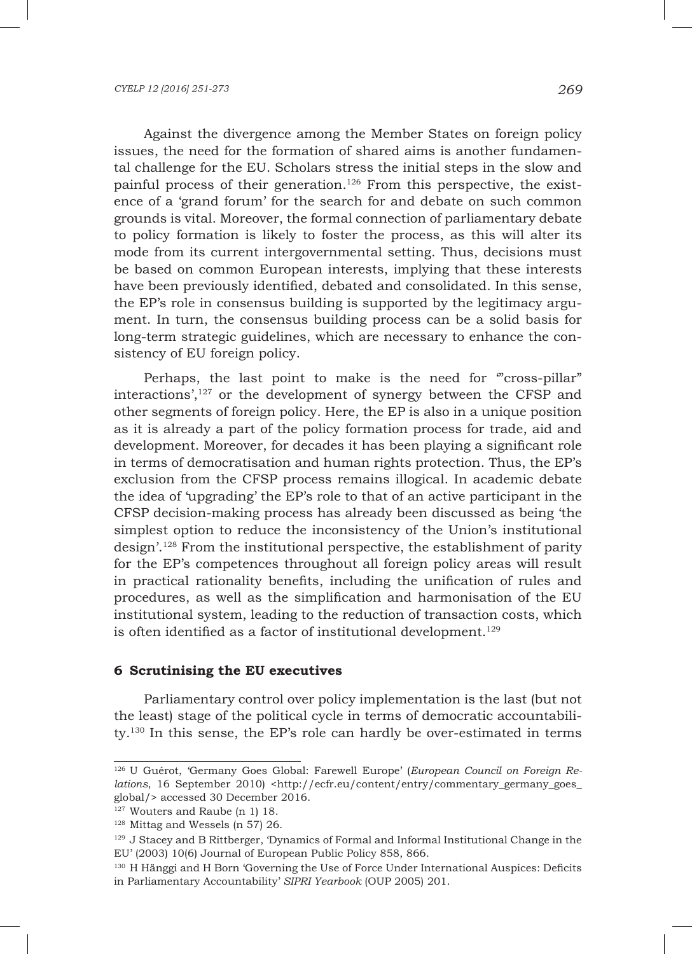Against the divergence among the Member States on foreign policy issues, the need for the formation of shared aims is another fundamental challenge for the EU. Scholars stress the initial steps in the slow and painful process of their generation.126 From this perspective, the existence of a 'grand forum' for the search for and debate on such common grounds is vital. Moreover, the formal connection of parliamentary debate to policy formation is likely to foster the process, as this will alter its mode from its current intergovernmental setting. Thus, decisions must be based on common European interests, implying that these interests have been previously identified, debated and consolidated. In this sense, the EP's role in consensus building is supported by the legitimacy argument. In turn, the consensus building process can be a solid basis for long-term strategic guidelines, which are necessary to enhance the consistency of EU foreign policy.

Perhaps, the last point to make is the need for "cross-pillar" interactions',<sup>127</sup> or the development of synergy between the CFSP and other segments of foreign policy. Here, the EP is also in a unique position as it is already a part of the policy formation process for trade, aid and development. Moreover, for decades it has been playing a significant role in terms of democratisation and human rights protection. Thus, the EP's exclusion from the CFSP process remains illogical. In academic debate the idea of 'upgrading' the EP's role to that of an active participant in the CFSP decision-making process has already been discussed as being 'the simplest option to reduce the inconsistency of the Union's institutional design'.128 From the institutional perspective, the establishment of parity for the EP's competences throughout all foreign policy areas will result in practical rationality benefits, including the unification of rules and procedures, as well as the simplification and harmonisation of the EU institutional system, leading to the reduction of transaction costs, which is often identified as a factor of institutional development.<sup>129</sup>

### **6 Scrutinising the EU executives**

Parliamentary control over policy implementation is the last (but not the least) stage of the political cycle in terms of democratic accountability.130 In this sense, the EP's role can hardly be over-estimated in terms

<sup>126</sup> U Guérot, 'Germany Goes Global: Farewell Europe' (*European Council on Foreign Relations*, 16 September 2010) <http://ecfr.eu/content/entry/commentary\_germany\_goes\_ global/> accessed 30 December 2016.

<sup>&</sup>lt;sup>127</sup> Wouters and Raube (n 1) 18.

<sup>128</sup> Mittag and Wessels (n 57) 26.

<sup>129</sup> J Stacey and B Rittberger, 'Dynamics of Formal and Informal Institutional Change in the EU' (2003) 10(6) Journal of European Public Policy 858, 866.

<sup>&</sup>lt;sup>130</sup> H Hänggi and H Born 'Governing the Use of Force Under International Auspices: Deficits in Parliamentary Accountability' *SIPRI Yearbook* (OUP 2005) 201.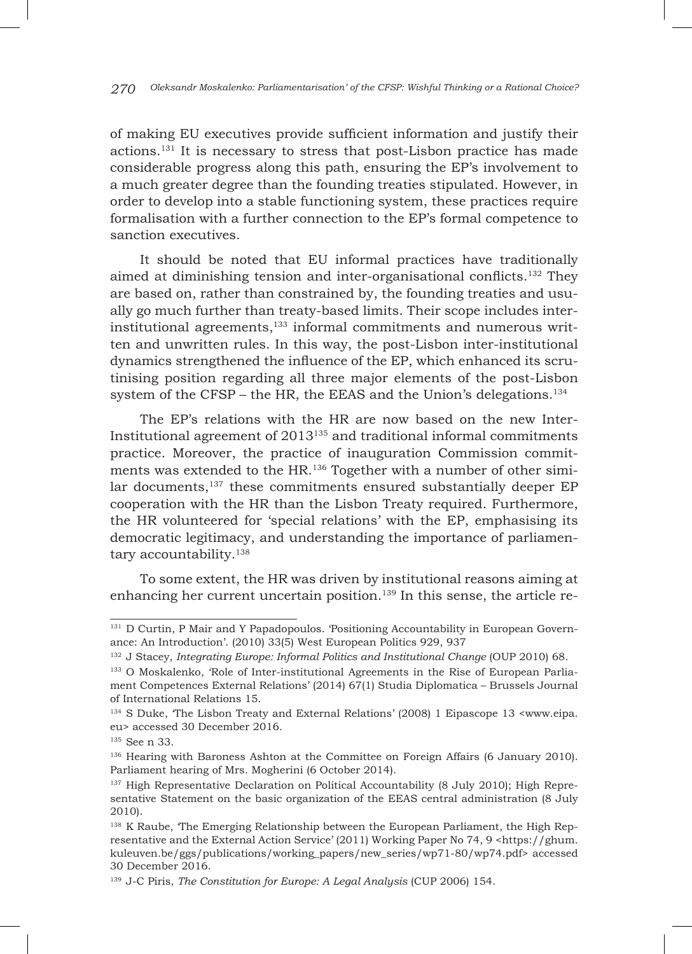of making EU executives provide sufficient information and justify their actions.131 It is necessary to stress that post-Lisbon practice has made considerable progress along this path, ensuring the EP's involvement to a much greater degree than the founding treaties stipulated. However, in order to develop into a stable functioning system, these practices require formalisation with a further connection to the EP's formal competence to sanction executives.

It should be noted that EU informal practices have traditionally aimed at diminishing tension and inter-organisational conflicts.132 They are based on, rather than constrained by, the founding treaties and usually go much further than treaty-based limits. Their scope includes interinstitutional agreements,133 informal commitments and numerous written and unwritten rules. In this way, the post-Lisbon inter-institutional dynamics strengthened the influence of the EP, which enhanced its scrutinising position regarding all three major elements of the post-Lisbon system of the CFSP – the HR, the EEAS and the Union's delegations.<sup>134</sup>

The EP's relations with the HR are now based on the new Inter-Institutional agreement of 2013135 and traditional informal commitments practice. Moreover, the practice of inauguration Commission commitments was extended to the HR.<sup>136</sup> Together with a number of other similar documents,<sup>137</sup> these commitments ensured substantially deeper EP cooperation with the HR than the Lisbon Treaty required. Furthermore, the HR volunteered for 'special relations' with the EP, emphasising its democratic legitimacy, and understanding the importance of parliamentary accountability.<sup>138</sup>

To some extent, the HR was driven by institutional reasons aiming at enhancing her current uncertain position.<sup>139</sup> In this sense, the article re-

<sup>&</sup>lt;sup>131</sup> D Curtin, P Mair and Y Papadopoulos. 'Positioning Accountability in European Governance: An Introduction'. (2010) 33(5) West European Politics 929, 937

<sup>132</sup> J Stacey, *Integrating Europe: Informal Politics and Institutional Change* (OUP 2010) 68.

<sup>133</sup> О Moskalenko, 'Role of Inter-institutional Agreements in the Rise of European Parliament Competences External Relations' (2014) 67(1) Studia Diplomatica – Brussels Journal of International Relations 15.

<sup>134</sup> S Duke, 'The Lisbon Treaty and External Relations' (2008) 1 Eipascope 13 <www.eipa. eu> accessed 30 December 2016.

<sup>135</sup> See n 33*.*

<sup>136</sup> Hearing with Baroness Ashton at the Committee on Foreign Affairs (6 January 2010). Parliament hearing of Mrs. Mogherini (6 October 2014).

<sup>137</sup> High Representative Declaration on Political Accountability (8 July 2010); High Representative Statement on the basic organization of the EEAS central administration (8 July 2010).

<sup>&</sup>lt;sup>138</sup> K Raube, 'The Emerging Relationship between the European Parliament, the High Representative and the External Action Service' (2011) Working Paper No 74, 9 <https://ghum. kuleuven.be/ggs/publications/working\_papers/new\_series/wp71-80/wp74.pdf> accessed 30 December 2016.

<sup>139</sup> J-C Piris, *The Constitution for Europe: A Legal Analysis* (CUP 2006) 154.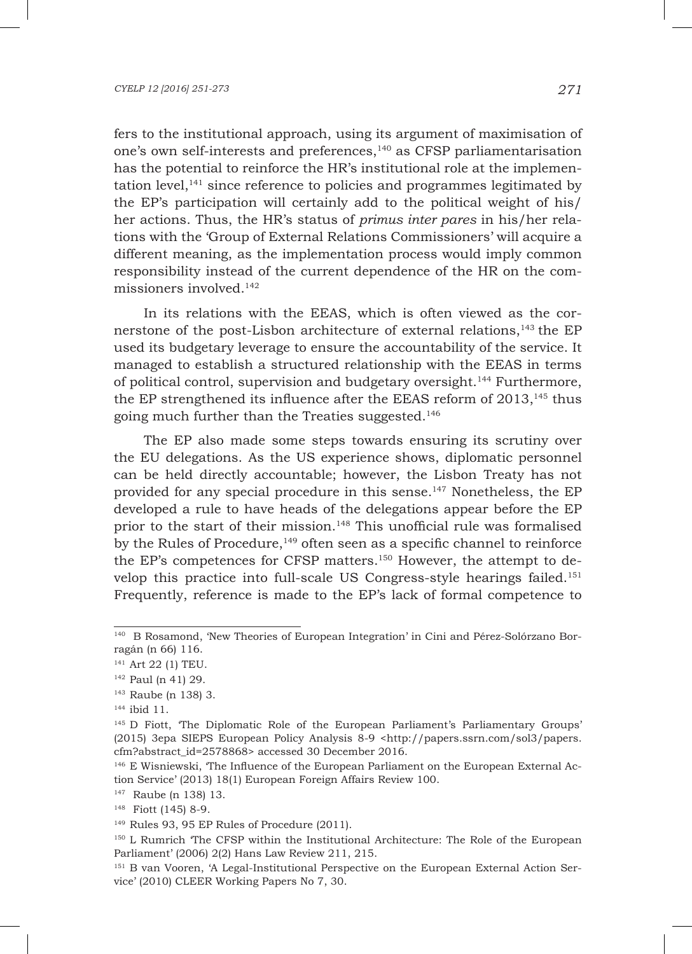fers to the institutional approach, using its argument of maximisation of one's own self-interests and preferences,<sup>140</sup> as CFSP parliamentarisation has the potential to reinforce the HR's institutional role at the implementation level, $141$  since reference to policies and programmes legitimated by the EP's participation will certainly add to the political weight of his/ her actions. Thus, the HR's status of *primus inter pares* in his/her relations with the 'Group of External Relations Commissioners' will acquire a different meaning, as the implementation process would imply common responsibility instead of the current dependence of the HR on the commissioners involved.142

In its relations with the EEAS, which is often viewed as the cornerstone of the post-Lisbon architecture of external relations,143 the EP used its budgetary leverage to ensure the accountability of the service. It managed to establish a structured relationship with the EEAS in terms of political control, supervision and budgetary oversight.144 Furthermore, the EP strengthened its influence after the EEAS reform of  $2013$ ,<sup>145</sup> thus going much further than the Treaties suggested.146

The EP also made some steps towards ensuring its scrutiny over the EU delegations. As the US experience shows, diplomatic personnel can be held directly accountable; however, the Lisbon Treaty has not provided for any special procedure in this sense.147 Nonetheless, the EP developed a rule to have heads of the delegations appear before the EP prior to the start of their mission.148 This unofficial rule was formalised by the Rules of Procedure, $149$  often seen as a specific channel to reinforce the EP's competences for CFSP matters.<sup>150</sup> However, the attempt to develop this practice into full-scale US Congress-style hearings failed.151 Frequently, reference is made to the EP's lack of formal competence to

<sup>140</sup> B Rosamond, 'New Theories of European Integration' in Cini and Pérez-Solórzano Borragán (n 66) 116.

<sup>141</sup> Art 22 (1) TEU.

<sup>142</sup> Paul (n 41) 29.

<sup>143</sup> Raube (n 138) 3.

<sup>144</sup> ibid 11.

<sup>145</sup> D Fiott, 'The Diplomatic Role of the European Parliament's Parliamentary Groups' (2015) 3epa SIEPS European Policy Analysis 8-9 <http://papers.ssrn.com/sol3/papers. cfm?abstract\_id=2578868> accessed 30 December 2016.

<sup>146</sup> E Wisniewski, 'The Influence of the European Parliament on the European External Action Service' (2013) 18(1) European Foreign Affairs Review 100.

<sup>147</sup> Raube (n 138) 13.

<sup>148</sup> Fiott (145) 8-9.

<sup>149</sup> Rules 93, 95 EP Rules of Procedure (2011).

<sup>150</sup> L Rumrich 'The CFSP within the Institutional Architecture: The Role of the European Parliament' (2006) 2(2) Hans Law Review 211, 215.

<sup>151</sup> B van Vooren, 'A Legal-Institutional Perspective on the European External Action Service' (2010) CLEER Working Papers No 7, 30.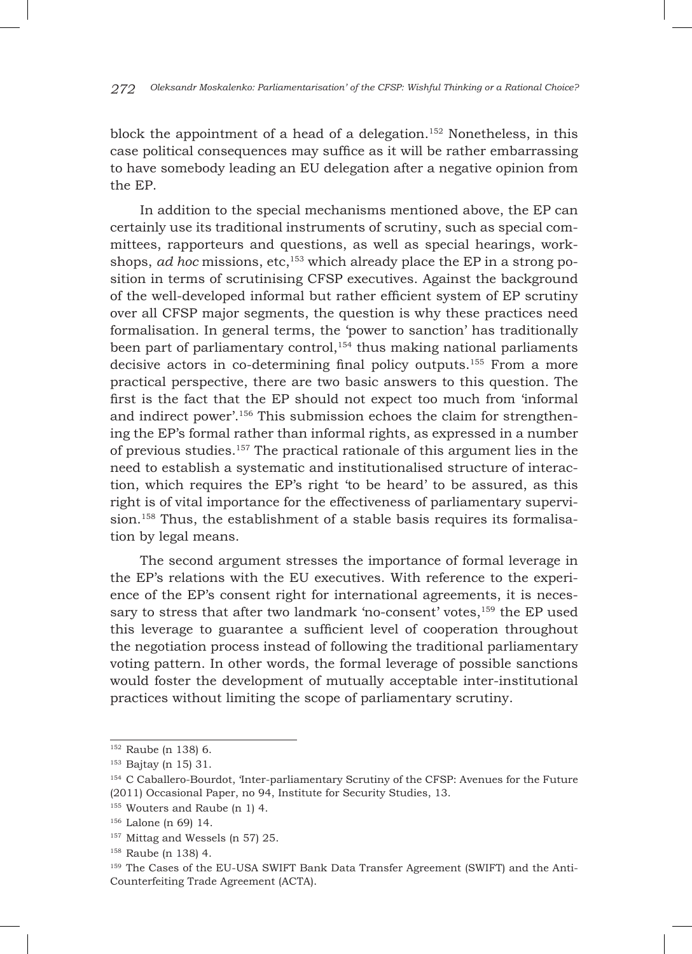block the appointment of a head of a delegation.<sup>152</sup> Nonetheless, in this case political consequences may suffice as it will be rather embarrassing to have somebody leading an EU delegation after a negative opinion from the EP.

In addition to the special mechanisms mentioned above, the EP can certainly use its traditional instruments of scrutiny, such as special committees, rapporteurs and questions, as well as special hearings, workshops, *ad hoc* missions, etc,<sup>153</sup> which already place the EP in a strong position in terms of scrutinising CFSP executives. Against the background of the well-developed informal but rather efficient system of EP scrutiny over all CFSP major segments, the question is why these practices need formalisation. In general terms, the 'power to sanction' has traditionally been part of parliamentary control, $154$  thus making national parliaments decisive actors in co-determining final policy outputs.155 From a more practical perspective, there are two basic answers to this question. The first is the fact that the EP should not expect too much from 'informal and indirect power'.156 This submission echoes the claim for strengthening the EP's formal rather than informal rights, as expressed in a number of previous studies.157 The practical rationale of this argument lies in the need to establish a systematic and institutionalised structure of interaction, which requires the EP's right 'to be heard' to be assured, as this right is of vital importance for the effectiveness of parliamentary supervision.<sup>158</sup> Thus, the establishment of a stable basis requires its formalisation by legal means.

The second argument stresses the importance of formal leverage in the EP's relations with the EU executives. With reference to the experience of the EP's consent right for international agreements, it is necessary to stress that after two landmark 'no-consent' votes,<sup>159</sup> the EP used this leverage to guarantee a sufficient level of cooperation throughout the negotiation process instead of following the traditional parliamentary voting pattern. In other words, the formal leverage of possible sanctions would foster the development of mutually acceptable inter-institutional practices without limiting the scope of parliamentary scrutiny.

<sup>152</sup> Raube (n 138) 6.

<sup>153</sup> Bajtay (n 15) 31.

<sup>154</sup> C Caballero-Bourdot, 'Inter-parliamentary Scrutiny of the CFSP: Avenues for the Future (2011) Occasional Paper, no 94, Institute for Security Studies, 13.

<sup>155</sup> Wouters and Raube (n 1) 4.

<sup>156</sup> Lalone (n 69) 14.

 $^{157}$  Mittag and Wessels (n 57) 25.

<sup>158</sup> Raube (n 138) 4.

<sup>159</sup> The Cases of the EU-USA SWIFT Bank Data Transfer Agreement (SWIFT) and the Anti-Counterfeiting Trade Agreement (ACTA).